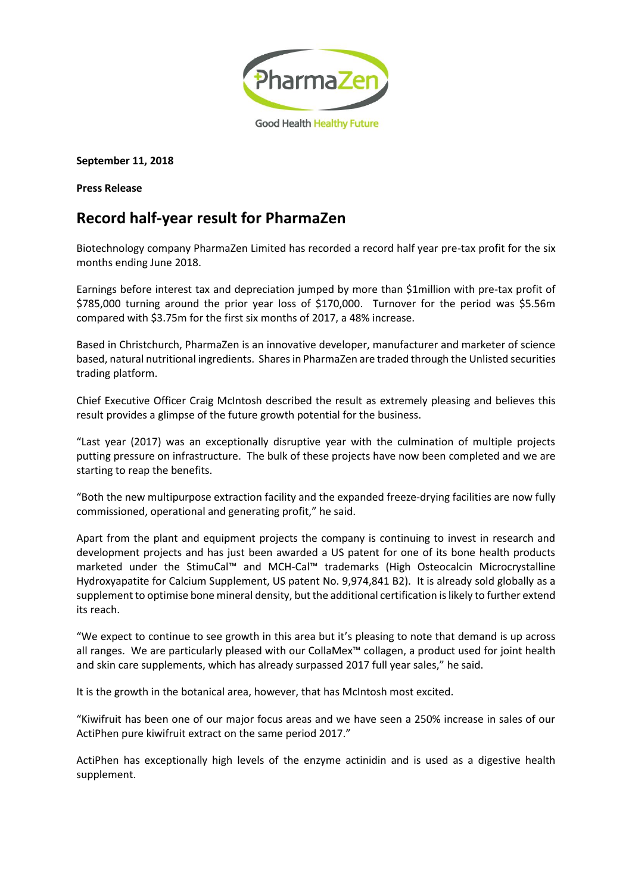

**September 11, 2018**

**Press Release**

## **Record half-year result for PharmaZen**

Biotechnology company PharmaZen Limited has recorded a record half year pre-tax profit for the six months ending June 2018.

Earnings before interest tax and depreciation jumped by more than \$1million with pre-tax profit of \$785,000 turning around the prior year loss of \$170,000. Turnover for the period was \$5.56m compared with \$3.75m for the first six months of 2017, a 48% increase.

Based in Christchurch, PharmaZen is an innovative developer, manufacturer and marketer of science based, natural nutritional ingredients. Shares in PharmaZen are traded through the Unlisted securities trading platform.

Chief Executive Officer Craig McIntosh described the result as extremely pleasing and believes this result provides a glimpse of the future growth potential for the business.

"Last year (2017) was an exceptionally disruptive year with the culmination of multiple projects putting pressure on infrastructure. The bulk of these projects have now been completed and we are starting to reap the benefits.

"Both the new multipurpose extraction facility and the expanded freeze-drying facilities are now fully commissioned, operational and generating profit," he said.

Apart from the plant and equipment projects the company is continuing to invest in research and development projects and has just been awarded a US patent for one of its bone health products marketed under the StimuCal™ and MCH-Cal™ trademarks (High Osteocalcin Microcrystalline Hydroxyapatite for Calcium Supplement, US patent No. 9,974,841 B2). It is already sold globally as a supplement to optimise bone mineral density, but the additional certification is likely to further extend its reach.

"We expect to continue to see growth in this area but it's pleasing to note that demand is up across all ranges. We are particularly pleased with our CollaMex™ collagen, a product used for joint health and skin care supplements, which has already surpassed 2017 full year sales," he said.

It is the growth in the botanical area, however, that has McIntosh most excited.

"Kiwifruit has been one of our major focus areas and we have seen a 250% increase in sales of our ActiPhen pure kiwifruit extract on the same period 2017."

ActiPhen has exceptionally high levels of the enzyme actinidin and is used as a digestive health supplement.